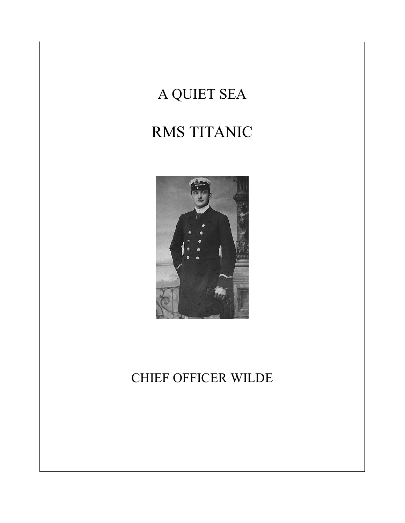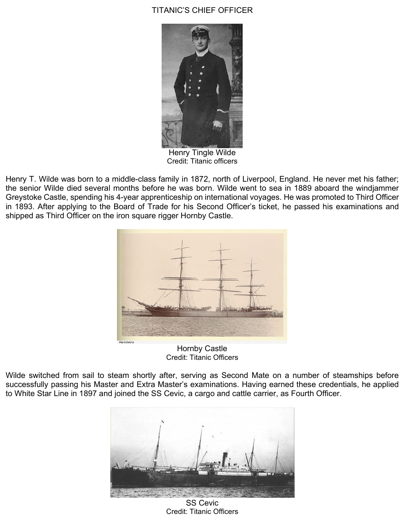## TITANIC'S CHIEF OFFICER



Henry Tingle Wilde Credit: Titanic officers

Henry T. Wilde was born to a middle-class family in 1872, north of Liverpool, England. He never met his father; the senior Wilde died several months before he was born. Wilde went to sea in 1889 aboard the windjammer Greystoke Castle, spending his 4-year apprenticeship on international voyages. He was promoted to Third Officer in 1893. After applying to the Board of Trade for his Second Officer's ticket, he passed his examinations and shipped as Third Officer on the iron square rigger Hornby Castle.



Hornby Castle Credit: Titanic Officers

Wilde switched from sail to steam shortly after, serving as Second Mate on a number of steamships before successfully passing his Master and Extra Master's examinations. Having earned these credentials, he applied to White Star Line in 1897 and joined the SS Cevic, a cargo and cattle carrier, as Fourth Officer.



SS Cevic Credit: Titanic Officers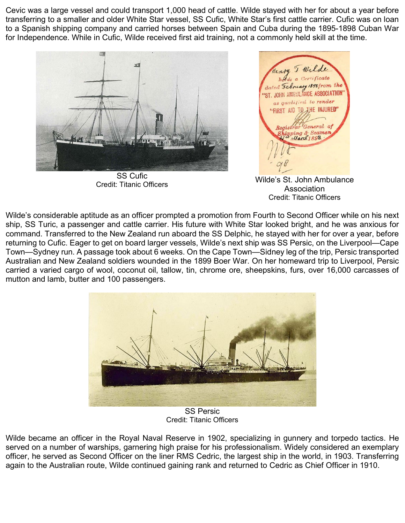Cevic was a large vessel and could transport 1,000 head of cattle. Wilde stayed with her for about a year before transferring to a smaller and older White Star vessel, SS Cufic, White Star's first cattle carrier. Cufic was on loan to a Spanish shipping company and carried horses between Spain and Cuba during the 1895-1898 Cuban War for Independence. While in Cufic, Wilde received first aid training, not a commonly held skill at the time.



SS Cufic



Credit: Titanic Officers Wilde's St. John Ambulance Association Credit: Titanic Officers

Wilde's considerable aptitude as an officer prompted a promotion from Fourth to Second Officer while on his next ship, SS Turic, a passenger and cattle carrier. His future with White Star looked bright, and he was anxious for command. Transferred to the New Zealand run aboard the SS Delphic, he stayed with her for over a year, before returning to Cufic. Eager to get on board larger vessels, Wilde's next ship was SS Persic, on the Liverpool—Cape Town—Sydney run. A passage took about 6 weeks. On the Cape Town—Sidney leg of the trip, Persic transported Australian and New Zealand soldiers wounded in the 1899 Boer War. On her homeward trip to Liverpool, Persic carried a varied cargo of wool, coconut oil, tallow, tin, chrome ore, sheepskins, furs, over 16,000 carcasses of mutton and lamb, butter and 100 passengers.



SS Persic Credit: Titanic Officers

Wilde became an officer in the Royal Naval Reserve in 1902, specializing in gunnery and torpedo tactics. He served on a number of warships, garnering high praise for his professionalism. Widely considered an exemplary officer, he served as Second Officer on the liner RMS Cedric, the largest ship in the world, in 1903. Transferring again to the Australian route, Wilde continued gaining rank and returned to Cedric as Chief Officer in 1910.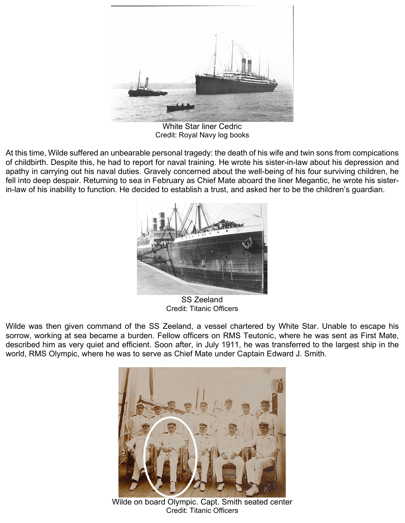

White Star liner Cedric Credit: Royal Navy log books

At this time, Wilde suffered an unbearable personal tragedy: the death of his wife and twin sons from compications of childbirth. Despite this, he had to report for naval training. He wrote his sister-in-law about his depression and apathy in carrying out his naval duties. Gravely concerned about the well-being of his four surviving children, he fell into deep despair. Returning to sea in February as Chief Mate aboard the liner Megantic, he wrote his sisterin-law of his inability to function. He decided to establish a trust, and asked her to be the children's guardian.



SS Zeeland Credit: Titanic Officers

Wilde was then given command of the SS Zeeland, a vessel chartered by White Star. Unable to escape his sorrow, working at sea became a burden. Fellow officers on RMS Teutonic, where he was sent as First Mate, described him as very quiet and efficient. Soon after, in July 1911, he was transferred to the largest ship in the world, RMS Olympic, where he was to serve as Chief Mate under Captain Edward J. Smith.



Wilde on board Olympic. Capt. Smith seated center Credit: Titanic Officers